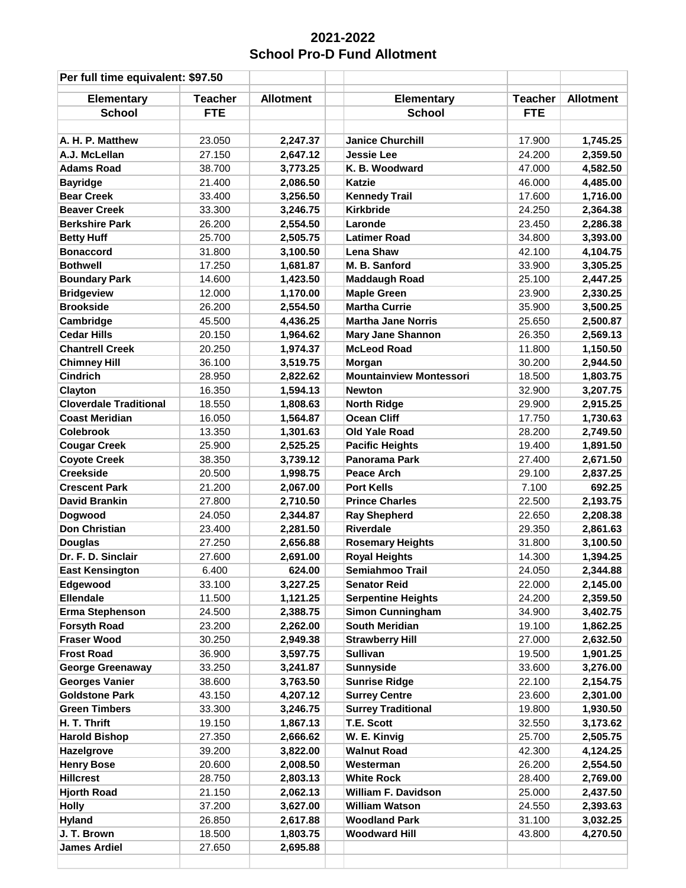## **School Pro-D Fund Allotment 2021-2022**

| Per full time equivalent: \$97.50 |                |                  |                                |                |                  |
|-----------------------------------|----------------|------------------|--------------------------------|----------------|------------------|
| <b>Elementary</b>                 | <b>Teacher</b> | <b>Allotment</b> | <b>Elementary</b>              | <b>Teacher</b> | <b>Allotment</b> |
| <b>School</b>                     | <b>FTE</b>     |                  | <b>School</b>                  | <b>FTE</b>     |                  |
|                                   |                |                  |                                |                |                  |
| A. H. P. Matthew                  | 23.050         | 2,247.37         | <b>Janice Churchill</b>        | 17.900         | 1,745.25         |
| A.J. McLellan                     | 27.150         | 2,647.12         | <b>Jessie Lee</b>              | 24.200         | 2,359.50         |
| <b>Adams Road</b>                 | 38.700         | 3,773.25         | K. B. Woodward                 | 47.000         | 4,582.50         |
| <b>Bayridge</b>                   | 21.400         | 2,086.50         | <b>Katzie</b>                  | 46.000         | 4,485.00         |
| <b>Bear Creek</b>                 | 33.400         | 3,256.50         | <b>Kennedy Trail</b>           | 17.600         | 1,716.00         |
| <b>Beaver Creek</b>               | 33.300         | 3,246.75         | <b>Kirkbride</b>               | 24.250         | 2,364.38         |
| <b>Berkshire Park</b>             | 26.200         | 2,554.50         | Laronde                        | 23.450         | 2,286.38         |
| <b>Betty Huff</b>                 | 25.700         | 2,505.75         | <b>Latimer Road</b>            | 34.800         | 3,393.00         |
| <b>Bonaccord</b>                  | 31.800         | 3,100.50         | <b>Lena Shaw</b>               | 42.100         | 4,104.75         |
| <b>Bothwell</b>                   | 17.250         | 1,681.87         | M. B. Sanford                  | 33.900         | 3,305.25         |
| <b>Boundary Park</b>              | 14.600         | 1,423.50         | <b>Maddaugh Road</b>           | 25.100         | 2,447.25         |
| <b>Bridgeview</b>                 | 12.000         | 1,170.00         | <b>Maple Green</b>             | 23.900         | 2,330.25         |
| <b>Brookside</b>                  | 26.200         | 2,554.50         | <b>Martha Currie</b>           | 35.900         | 3,500.25         |
| Cambridge                         | 45.500         | 4,436.25         | <b>Martha Jane Norris</b>      | 25.650         | 2,500.87         |
| <b>Cedar Hills</b>                | 20.150         | 1,964.62         | <b>Mary Jane Shannon</b>       | 26.350         | 2,569.13         |
| <b>Chantrell Creek</b>            | 20.250         | 1,974.37         | <b>McLeod Road</b>             | 11.800         | 1,150.50         |
| <b>Chimney Hill</b>               | 36.100         | 3,519.75         | Morgan                         | 30.200         | 2,944.50         |
| <b>Cindrich</b>                   | 28.950         | 2,822.62         | <b>Mountainview Montessori</b> | 18.500         | 1,803.75         |
| Clayton                           | 16.350         | 1,594.13         | <b>Newton</b>                  | 32.900         | 3,207.75         |
| <b>Cloverdale Traditional</b>     | 18.550         | 1,808.63         | <b>North Ridge</b>             | 29.900         | 2,915.25         |
| <b>Coast Meridian</b>             | 16.050         | 1,564.87         | <b>Ocean Cliff</b>             | 17.750         | 1,730.63         |
| <b>Colebrook</b>                  | 13.350         | 1,301.63         | Old Yale Road                  | 28.200         | 2,749.50         |
| <b>Cougar Creek</b>               | 25.900         | 2,525.25         | <b>Pacific Heights</b>         | 19.400         | 1,891.50         |
| <b>Coyote Creek</b>               | 38.350         | 3,739.12         | <b>Panorama Park</b>           | 27.400         | 2,671.50         |
| <b>Creekside</b>                  | 20.500         | 1,998.75         | <b>Peace Arch</b>              | 29.100         | 2,837.25         |
| <b>Crescent Park</b>              | 21.200         | 2,067.00         | <b>Port Kells</b>              | 7.100          | 692.25           |
| <b>David Brankin</b>              | 27.800         | 2,710.50         | <b>Prince Charles</b>          | 22.500         | 2,193.75         |
| Dogwood                           | 24.050         | 2,344.87         | <b>Ray Shepherd</b>            | 22.650         | 2,208.38         |
| <b>Don Christian</b>              | 23.400         | 2,281.50         | <b>Riverdale</b>               | 29.350         | 2,861.63         |
| <b>Douglas</b>                    | 27.250         | 2,656.88         | <b>Rosemary Heights</b>        | 31.800         | 3,100.50         |
| Dr. F. D. Sinclair                | 27.600         | 2,691.00         | <b>Royal Heights</b>           | 14.300         | 1,394.25         |
| <b>East Kensington</b>            | 6.400          | 624.00           | <b>Semiahmoo Trail</b>         | 24.050         | 2,344.88         |
| Edgewood                          | 33.100         | 3,227.25         | <b>Senator Reid</b>            | 22.000         | 2,145.00         |
| <b>Ellendale</b>                  | 11.500         | 1,121.25         | <b>Serpentine Heights</b>      | 24.200         | 2,359.50         |
| <b>Erma Stephenson</b>            | 24.500         | 2,388.75         | <b>Simon Cunningham</b>        | 34.900         | 3,402.75         |
| <b>Forsyth Road</b>               | 23.200         | 2,262.00         | South Meridian                 | 19.100         | 1,862.25         |
| <b>Fraser Wood</b>                | 30.250         | 2,949.38         | <b>Strawberry Hill</b>         | 27.000         | 2,632.50         |
| <b>Frost Road</b>                 | 36.900         | 3,597.75         | <b>Sullivan</b>                | 19.500         | 1,901.25         |
| <b>George Greenaway</b>           | 33.250         | 3,241.87         | <b>Sunnyside</b>               | 33.600         | 3,276.00         |
| <b>Georges Vanier</b>             | 38.600         | 3,763.50         | <b>Sunrise Ridge</b>           | 22.100         | 2,154.75         |
| <b>Goldstone Park</b>             | 43.150         | 4,207.12         | <b>Surrey Centre</b>           | 23.600         | 2,301.00         |
| <b>Green Timbers</b>              | 33.300         | 3,246.75         | <b>Surrey Traditional</b>      | 19.800         | 1,930.50         |
| H. T. Thrift                      | 19.150         | 1,867.13         | T.E. Scott                     | 32.550         | 3,173.62         |
| <b>Harold Bishop</b>              | 27.350         | 2,666.62         | W. E. Kinvig                   | 25.700         | 2,505.75         |
| Hazelgrove                        | 39.200         | 3,822.00         | <b>Walnut Road</b>             | 42.300         | 4,124.25         |
| <b>Henry Bose</b>                 | 20.600         | 2,008.50         | Westerman                      | 26.200         | 2,554.50         |
| <b>Hillcrest</b>                  | 28.750         | 2,803.13         | <b>White Rock</b>              | 28.400         | 2,769.00         |
| <b>Hjorth Road</b>                | 21.150         | 2,062.13         | <b>William F. Davidson</b>     | 25.000         | 2,437.50         |
| <b>Holly</b>                      | 37.200         | 3,627.00         | <b>William Watson</b>          | 24.550         | 2,393.63         |
| <b>Hyland</b>                     | 26.850         | 2,617.88         | <b>Woodland Park</b>           | 31.100         | 3,032.25         |
| J. T. Brown                       | 18.500         | 1,803.75         | <b>Woodward Hill</b>           | 43.800         | 4,270.50         |
| <b>James Ardiel</b>               | 27.650         | 2,695.88         |                                |                |                  |
|                                   |                |                  |                                |                |                  |